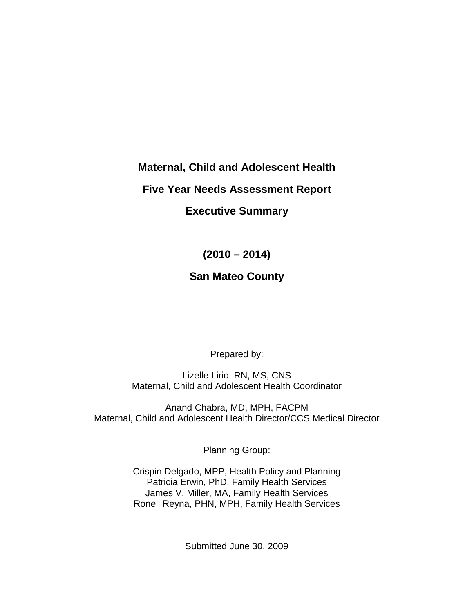## **Maternal, Child and Adolescent Health**

## **Five Year Needs Assessment Report**

# **Executive Summary**

# **(2010 – 2014)**

# **San Mateo County**

Prepared by:

Lizelle Lirio, RN, MS, CNS Maternal, Child and Adolescent Health Coordinator

Anand Chabra, MD, MPH, FACPM Maternal, Child and Adolescent Health Director/CCS Medical Director

Planning Group:

Crispin Delgado, MPP, Health Policy and Planning Patricia Erwin, PhD, Family Health Services James V. Miller, MA, Family Health Services Ronell Reyna, PHN, MPH, Family Health Services

Submitted June 30, 2009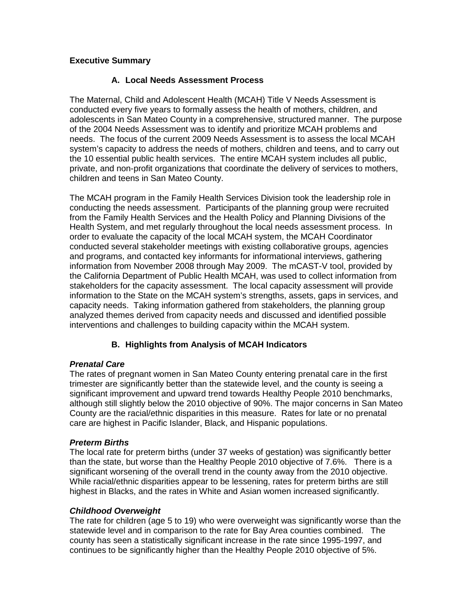### **Executive Summary**

### **A. Local Needs Assessment Process**

The Maternal, Child and Adolescent Health (MCAH) Title V Needs Assessment is conducted every five years to formally assess the health of mothers, children, and adolescents in San Mateo County in a comprehensive, structured manner. The purpose of the 2004 Needs Assessment was to identify and prioritize MCAH problems and needs. The focus of the current 2009 Needs Assessment is to assess the local MCAH system's capacity to address the needs of mothers, children and teens, and to carry out the 10 essential public health services. The entire MCAH system includes all public, private, and non-profit organizations that coordinate the delivery of services to mothers, children and teens in San Mateo County.

The MCAH program in the Family Health Services Division took the leadership role in conducting the needs assessment. Participants of the planning group were recruited from the Family Health Services and the Health Policy and Planning Divisions of the Health System, and met regularly throughout the local needs assessment process. In order to evaluate the capacity of the local MCAH system, the MCAH Coordinator conducted several stakeholder meetings with existing collaborative groups, agencies and programs, and contacted key informants for informational interviews, gathering information from November 2008 through May 2009. The mCAST-V tool, provided by the California Department of Public Health MCAH, was used to collect information from stakeholders for the capacity assessment. The local capacity assessment will provide information to the State on the MCAH system's strengths, assets, gaps in services, and capacity needs. Taking information gathered from stakeholders, the planning group analyzed themes derived from capacity needs and discussed and identified possible interventions and challenges to building capacity within the MCAH system.

## **B. Highlights from Analysis of MCAH Indicators**

#### **Prenatal Care**

The rates of pregnant women in San Mateo County entering prenatal care in the first trimester are significantly better than the statewide level, and the county is seeing a significant improvement and upward trend towards Healthy People 2010 benchmarks, although still slightly below the 2010 objective of 90%. The major concerns in San Mateo County are the racial/ethnic disparities in this measure. Rates for late or no prenatal care are highest in Pacific Islander, Black, and Hispanic populations.

#### **Preterm Births**

The local rate for preterm births (under 37 weeks of gestation) was significantly better than the state, but worse than the Healthy People 2010 objective of 7.6%. There is a significant worsening of the overall trend in the county away from the 2010 objective. While racial/ethnic disparities appear to be lessening, rates for preterm births are still highest in Blacks, and the rates in White and Asian women increased significantly.

#### **Childhood Overweight**

The rate for children (age 5 to 19) who were overweight was significantly worse than the statewide level and in comparison to the rate for Bay Area counties combined. The county has seen a statistically significant increase in the rate since 1995-1997, and continues to be significantly higher than the Healthy People 2010 objective of 5%.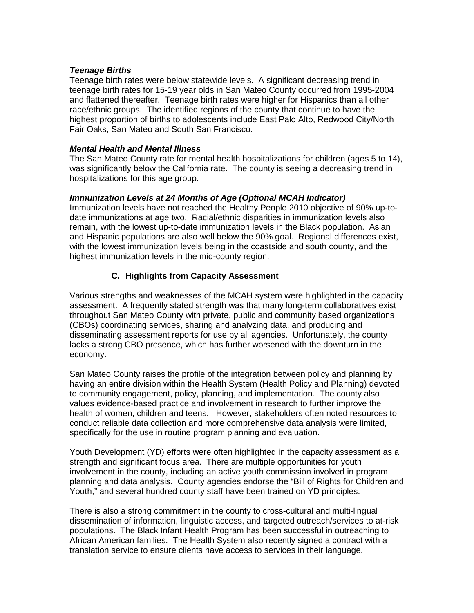#### **Teenage Births**

Teenage birth rates were below statewide levels. A significant decreasing trend in teenage birth rates for 15-19 year olds in San Mateo County occurred from 1995-2004 and flattened thereafter. Teenage birth rates were higher for Hispanics than all other race/ethnic groups. The identified regions of the county that continue to have the highest proportion of births to adolescents include East Palo Alto, Redwood City/North Fair Oaks, San Mateo and South San Francisco.

#### **Mental Health and Mental Illness**

The San Mateo County rate for mental health hospitalizations for children (ages 5 to 14), was significantly below the California rate. The county is seeing a decreasing trend in hospitalizations for this age group.

#### **Immunization Levels at 24 Months of Age (Optional MCAH Indicator)**

Immunization levels have not reached the Healthy People 2010 objective of 90% up-todate immunizations at age two. Racial/ethnic disparities in immunization levels also remain, with the lowest up-to-date immunization levels in the Black population. Asian and Hispanic populations are also well below the 90% goal. Regional differences exist, with the lowest immunization levels being in the coastside and south county, and the highest immunization levels in the mid-county region.

## **C. Highlights from Capacity Assessment**

Various strengths and weaknesses of the MCAH system were highlighted in the capacity assessment. A frequently stated strength was that many long-term collaboratives exist throughout San Mateo County with private, public and community based organizations (CBOs) coordinating services, sharing and analyzing data, and producing and disseminating assessment reports for use by all agencies. Unfortunately, the county lacks a strong CBO presence, which has further worsened with the downturn in the economy.

San Mateo County raises the profile of the integration between policy and planning by having an entire division within the Health System (Health Policy and Planning) devoted to community engagement, policy, planning, and implementation. The county also values evidence-based practice and involvement in research to further improve the health of women, children and teens. However, stakeholders often noted resources to conduct reliable data collection and more comprehensive data analysis were limited, specifically for the use in routine program planning and evaluation.

Youth Development (YD) efforts were often highlighted in the capacity assessment as a strength and significant focus area. There are multiple opportunities for youth involvement in the county, including an active youth commission involved in program planning and data analysis. County agencies endorse the "Bill of Rights for Children and Youth," and several hundred county staff have been trained on YD principles.

There is also a strong commitment in the county to cross-cultural and multi-lingual dissemination of information, linguistic access, and targeted outreach/services to at-risk populations. The Black Infant Health Program has been successful in outreaching to African American families. The Health System also recently signed a contract with a translation service to ensure clients have access to services in their language.